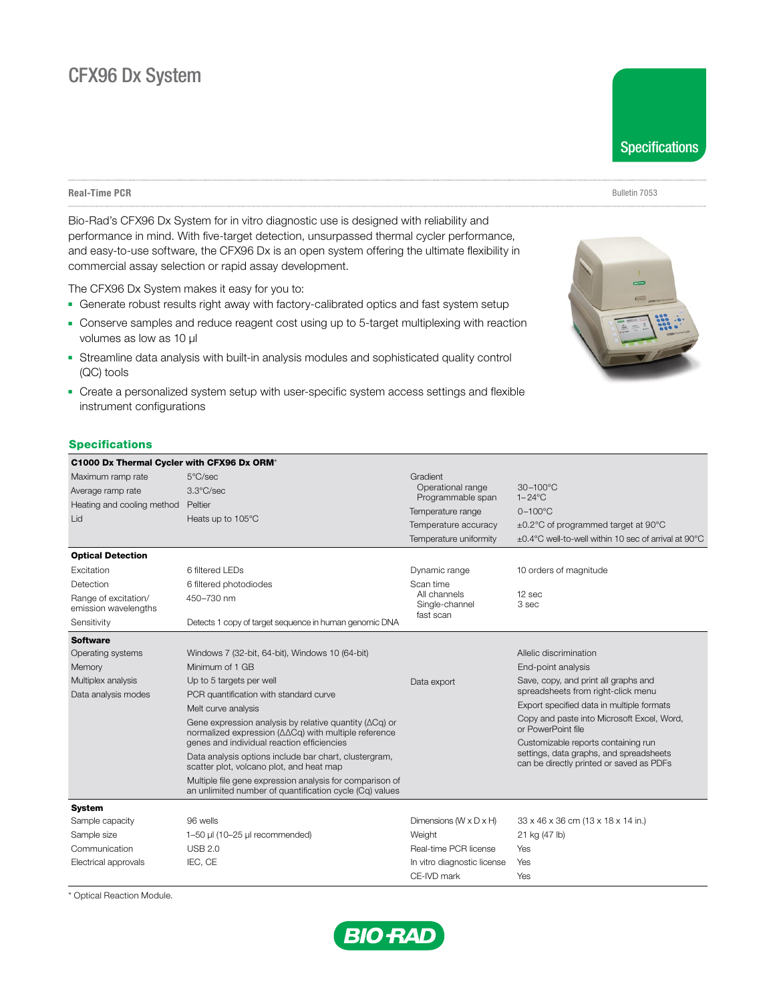# CFX96 Dx System

**Real-Time PCR** Bulletin 7053

Bio-Rad's CFX96 Dx System for in vitro diagnostic use is designed with reliability and performance in mind. With five-target detection, unsurpassed thermal cycler performance, and easy-to-use software, the CFX96 Dx is an open system offering the ultimate flexibility in commercial assay selection or rapid assay development.

The CFX96 Dx System makes it easy for you to:

- **-** Generate robust results right away with factory-calibrated optics and fast system setup
- **-** Conserve samples and reduce reagent cost using up to 5-target multiplexing with reaction volumes as low as 10 μl
- **-** Streamline data analysis with built-in analysis modules and sophisticated quality control (QC) tools
- Create a personalized system setup with user-specific system access settings and flexible instrument configurations

# **Specifications**

| C1000 Dx Thermal Cycler with CFX96 Dx ORM*   |                                                                                                                                                                       |                                                |                                                                                                                            |
|----------------------------------------------|-----------------------------------------------------------------------------------------------------------------------------------------------------------------------|------------------------------------------------|----------------------------------------------------------------------------------------------------------------------------|
| Maximum ramp rate                            | 5°C/sec                                                                                                                                                               | Gradient                                       |                                                                                                                            |
| Average ramp rate                            | $3.3^{\circ}$ C/sec                                                                                                                                                   | Operational range                              | 30-100°C<br>$1 - 24$ °C                                                                                                    |
| Heating and cooling method                   | Peltier                                                                                                                                                               | Programmable span<br>Temperature range         | $0 - 100^{\circ}$ C                                                                                                        |
| Lid                                          | Heats up to 105°C                                                                                                                                                     |                                                |                                                                                                                            |
|                                              |                                                                                                                                                                       | Temperature accuracy<br>Temperature uniformity | ±0.2°C of programmed target at 90°C<br>±0.4°C well-to-well within 10 sec of arrival at 90°C                                |
|                                              |                                                                                                                                                                       |                                                |                                                                                                                            |
| <b>Optical Detection</b>                     |                                                                                                                                                                       |                                                |                                                                                                                            |
| Excitation                                   | 6 filtered LEDs                                                                                                                                                       | Dynamic range                                  | 10 orders of magnitude                                                                                                     |
| Detection                                    | 6 filtered photodiodes                                                                                                                                                | Scan time                                      |                                                                                                                            |
| Range of excitation/<br>emission wavelengths | 450-730 nm                                                                                                                                                            | All channels<br>Single-channel<br>fast scan    | 12 sec<br>3 sec                                                                                                            |
| Sensitivity                                  | Detects 1 copy of target sequence in human genomic DNA                                                                                                                |                                                |                                                                                                                            |
| <b>Software</b>                              |                                                                                                                                                                       |                                                |                                                                                                                            |
| Operating systems                            | Windows 7 (32-bit, 64-bit), Windows 10 (64-bit)                                                                                                                       |                                                | Allelic discrimination                                                                                                     |
| Memory                                       | Minimum of 1 GB                                                                                                                                                       |                                                | End-point analysis                                                                                                         |
| Multiplex analysis                           | Up to 5 targets per well                                                                                                                                              | Data export                                    | Save, copy, and print all graphs and                                                                                       |
| Data analysis modes                          | PCR quantification with standard curve                                                                                                                                |                                                | spreadsheets from right-click menu                                                                                         |
|                                              | Melt curve analysis                                                                                                                                                   |                                                | Export specified data in multiple formats                                                                                  |
|                                              | Gene expression analysis by relative quantity ( $\Delta$ Cq) or<br>normalized expression (ΔΔCq) with multiple reference<br>genes and individual reaction efficiencies |                                                | Copy and paste into Microsoft Excel, Word,<br>or PowerPoint file                                                           |
|                                              |                                                                                                                                                                       |                                                | Customizable reports containing run<br>settings, data graphs, and spreadsheets<br>can be directly printed or saved as PDFs |
|                                              | Data analysis options include bar chart, clustergram,<br>scatter plot, volcano plot, and heat map                                                                     |                                                |                                                                                                                            |
|                                              | Multiple file gene expression analysis for comparison of<br>an unlimited number of quantification cycle (Cq) values                                                   |                                                |                                                                                                                            |
| <b>System</b>                                |                                                                                                                                                                       |                                                |                                                                                                                            |
| Sample capacity                              | 96 wells                                                                                                                                                              | Dimensions ( $W \times D \times H$ )           | 33 x 46 x 36 cm (13 x 18 x 14 in.)                                                                                         |
| Sample size                                  | 1-50 µl (10-25 µl recommended)                                                                                                                                        | Weight                                         | 21 kg (47 lb)                                                                                                              |
| Communication                                | <b>USB 2.0</b>                                                                                                                                                        | Real-time PCR license                          | Yes                                                                                                                        |
| Electrical approvals                         | IEC, CE                                                                                                                                                               | In vitro diagnostic license                    | Yes                                                                                                                        |
|                                              |                                                                                                                                                                       | CE-IVD mark                                    | Yes                                                                                                                        |

\* Optical Reaction Module.